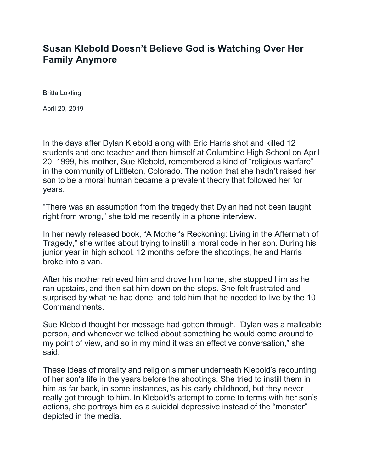## **Susan Klebold Doesn't Believe God is Watching Over Her Family Anymore**

Britta Lokting

April 20, 2019

In the days after Dylan Klebold along with Eric Harris shot and killed 12 students and one teacher and then himself at Columbine High School on April 20, 1999, his mother, Sue Klebold, remembered a kind of "religious warfare" in the community of Littleton, Colorado. The notion that she hadn't raised her son to be a moral human became a prevalent theory that followed her for years.

"There was an assumption from the tragedy that Dylan had not been taught right from wrong," she told me recently in a phone interview.

In her newly released book, "A Mother's Reckoning: Living in the Aftermath of Tragedy," she writes about trying to instill a moral code in her son. During his junior year in high school, 12 months before the shootings, he and Harris broke into a van.

After his mother retrieved him and drove him home, she stopped him as he ran upstairs, and then sat him down on the steps. She felt frustrated and surprised by what he had done, and told him that he needed to live by the 10 Commandments.

Sue Klebold thought her message had gotten through. "Dylan was a malleable person, and whenever we talked about something he would come around to my point of view, and so in my mind it was an effective conversation," she said.

These ideas of morality and religion simmer underneath Klebold's recounting of her son's life in the years before the shootings. She tried to instill them in him as far back, in some instances, as his early childhood, but they never really got through to him. In Klebold's attempt to come to terms with her son's actions, she portrays him as a suicidal depressive instead of the "monster" depicted in the media.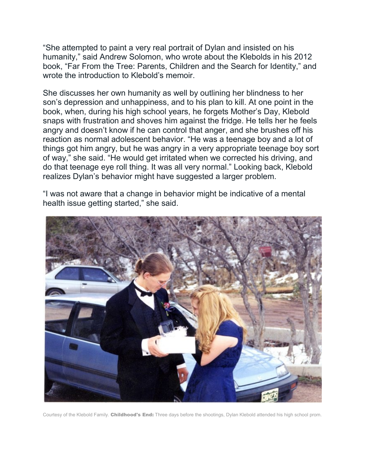"She attempted to paint a very real portrait of Dylan and insisted on his humanity," said Andrew Solomon, who wrote about the Klebolds in his 2012 book, "Far From the Tree: Parents, Children and the Search for Identity," and wrote the introduction to Klebold's memoir.

She discusses her own humanity as well by outlining her blindness to her son's depression and unhappiness, and to his plan to kill. At one point in the book, when, during his high school years, he forgets Mother's Day, Klebold snaps with frustration and shoves him against the fridge. He tells her he feels angry and doesn't know if he can control that anger, and she brushes off his reaction as normal adolescent behavior. "He was a teenage boy and a lot of things got him angry, but he was angry in a very appropriate teenage boy sort of way," she said. "He would get irritated when we corrected his driving, and do that teenage eye roll thing. It was all very normal." Looking back, Klebold realizes Dylan's behavior might have suggested a larger problem.

"I was not aware that a change in behavior might be indicative of a mental health issue getting started," she said.



Courtesy of the Klebold Family. Childhood's End: Three days before the shootings, Dylan Klebold attended his high school prom.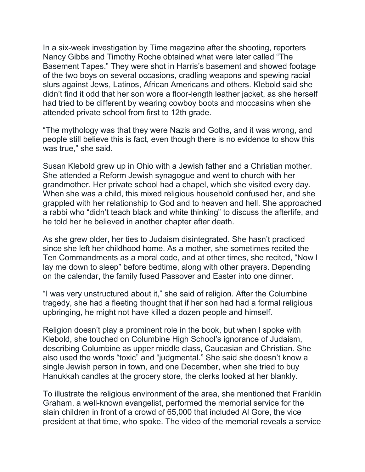In a six-week investigation by Time magazine after the shooting, reporters Nancy Gibbs and Timothy Roche obtained what were later called "The Basement Tapes." They were shot in Harris's basement and showed footage of the two boys on several occasions, cradling weapons and spewing racial slurs against Jews, Latinos, African Americans and others. Klebold said she didn't find it odd that her son wore a floor-length leather jacket, as she herself had tried to be different by wearing cowboy boots and moccasins when she attended private school from first to 12th grade.

"The mythology was that they were Nazis and Goths, and it was wrong, and people still believe this is fact, even though there is no evidence to show this was true," she said.

Susan Klebold grew up in Ohio with a Jewish father and a Christian mother. She attended a Reform Jewish synagogue and went to church with her grandmother. Her private school had a chapel, which she visited every day. When she was a child, this mixed religious household confused her, and she grappled with her relationship to God and to heaven and hell. She approached a rabbi who "didn't teach black and white thinking" to discuss the afterlife, and he told her he believed in another chapter after death.

As she grew older, her ties to Judaism disintegrated. She hasn't practiced since she left her childhood home. As a mother, she sometimes recited the Ten Commandments as a moral code, and at other times, she recited, "Now I lay me down to sleep" before bedtime, along with other prayers. Depending on the calendar, the family fused Passover and Easter into one dinner.

"I was very unstructured about it," she said of religion. After the Columbine tragedy, she had a fleeting thought that if her son had had a formal religious upbringing, he might not have killed a dozen people and himself.

Religion doesn't play a prominent role in the book, but when I spoke with Klebold, she touched on Columbine High School's ignorance of Judaism, describing Columbine as upper middle class, Caucasian and Christian. She also used the words "toxic" and "judgmental." She said she doesn't know a single Jewish person in town, and one December, when she tried to buy Hanukkah candles at the grocery store, the clerks looked at her blankly.

To illustrate the religious environment of the area, she mentioned that Franklin Graham, a well-known evangelist, performed the memorial service for the slain children in front of a crowd of 65,000 that included Al Gore, the vice president at that time, who spoke. The video of the memorial reveals a service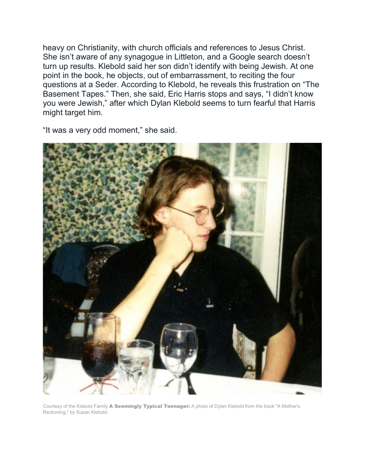heavy on Christianity, with church officials and references to Jesus Christ. She isn't aware of any synagogue in Littleton, and a Google search doesn't turn up results. Klebold said her son didn't identify with being Jewish. At one point in the book, he objects, out of embarrassment, to reciting the four questions at a Seder. According to Klebold, he reveals this frustration on "The Basement Tapes." Then, she said, Eric Harris stops and says, "I didn't know you were Jewish," after which Dylan Klebold seems to turn fearful that Harris might target him.

"It was a very odd moment," she said.



Courtesy of the Klebold Family A Seemingly Typical Teenager: A photo of Dylan Klebold from the book "A Mother's Reckoning," by Susan Klebold.